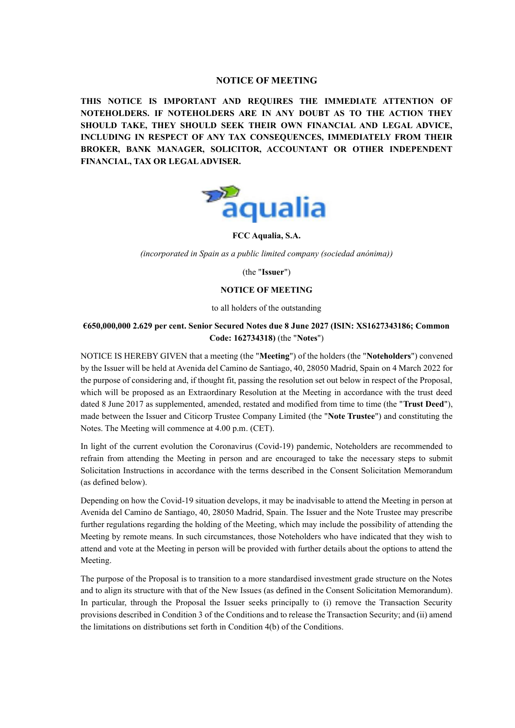# **NOTICE OF MEETING**

**THIS NOTICE IS IMPORTANT AND REQUIRES THE IMMEDIATE ATTENTION OF NOTEHOLDERS. IF NOTEHOLDERS ARE IN ANY DOUBT AS TO THE ACTION THEY SHOULD TAKE, THEY SHOULD SEEK THEIR OWN FINANCIAL AND LEGAL ADVICE, INCLUDING IN RESPECT OF ANY TAX CONSEQUENCES, IMMEDIATELY FROM THEIR BROKER, BANK MANAGER, SOLICITOR, ACCOUNTANT OR OTHER INDEPENDENT FINANCIAL, TAX OR LEGAL ADVISER.**



**FCC Aqualia, S.A.**

*(incorporated in Spain as a public limited company (sociedad anónima))*

(the "**Issuer**")

## **NOTICE OF MEETING**

to all holders of the outstanding

# **€650,000,000 2.629 per cent. Senior Secured Notes due 8 June 2027 (ISIN: XS1627343186; Common Code: 162734318)** (the "**Notes**")

NOTICE IS HEREBY GIVEN that a meeting (the "**Meeting**") of the holders (the "**Noteholders**") convened by the Issuer will be held at Avenida del Camino de Santiago, 40, 28050 Madrid, Spain on 4 March 2022 for the purpose of considering and, if thought fit, passing the resolution set out below in respect of the Proposal, which will be proposed as an Extraordinary Resolution at the Meeting in accordance with the trust deed dated 8 June 2017 as supplemented, amended, restated and modified from time to time (the "**Trust Deed**"), made between the Issuer and Citicorp Trustee Company Limited (the "**Note Trustee**") and constituting the Notes. The Meeting will commence at 4.00 p.m. (CET).

In light of the current evolution the Coronavirus (Covid-19) pandemic, Noteholders are recommended to refrain from attending the Meeting in person and are encouraged to take the necessary steps to submit Solicitation Instructions in accordance with the terms described in the Consent Solicitation Memorandum (as defined below).

Depending on how the Covid-19 situation develops, it may be inadvisable to attend the Meeting in person at Avenida del Camino de Santiago, 40, 28050 Madrid, Spain. The Issuer and the Note Trustee may prescribe further regulations regarding the holding of the Meeting, which may include the possibility of attending the Meeting by remote means. In such circumstances, those Noteholders who have indicated that they wish to attend and vote at the Meeting in person will be provided with further details about the options to attend the Meeting.

The purpose of the Proposal is to transition to a more standardised investment grade structure on the Notes and to align its structure with that of the New Issues (as defined in the Consent Solicitation Memorandum). In particular, through the Proposal the Issuer seeks principally to (i) remove the Transaction Security provisions described in Condition 3 of the Conditions and to release the Transaction Security; and (ii) amend the limitations on distributions set forth in Condition 4(b) of the Conditions.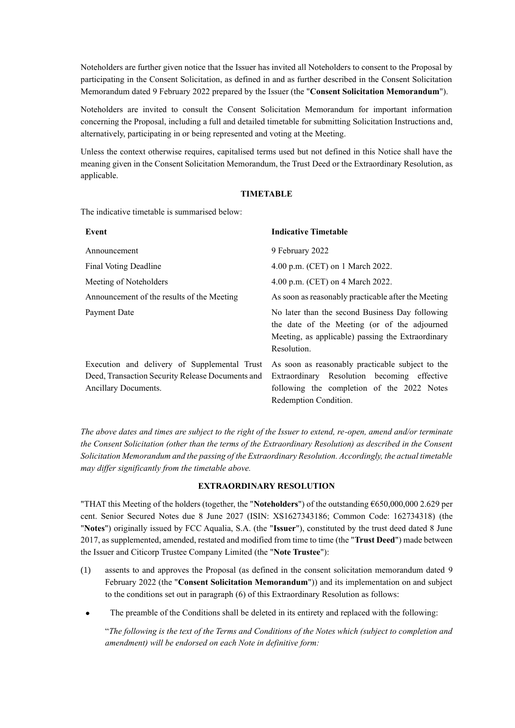Noteholders are further given notice that the Issuer has invited all Noteholders to consent to the Proposal by participating in the Consent Solicitation, as defined in and as further described in the Consent Solicitation Memorandum dated 9 February 2022 prepared by the Issuer (the "**Consent Solicitation Memorandum**").

Noteholders are invited to consult the Consent Solicitation Memorandum for important information concerning the Proposal, including a full and detailed timetable for submitting Solicitation Instructions and, alternatively, participating in or being represented and voting at the Meeting.

Unless the context otherwise requires, capitalised terms used but not defined in this Notice shall have the meaning given in the Consent Solicitation Memorandum, the Trust Deed or the Extraordinary Resolution, as applicable.

### **TIMETABLE**

The indicative timetable is summarised below:

| Event                                            | <b>Indicative Timetable</b>                                                                                                                                         |
|--------------------------------------------------|---------------------------------------------------------------------------------------------------------------------------------------------------------------------|
| Announcement                                     | 9 February 2022                                                                                                                                                     |
| Final Voting Deadline                            | 4.00 p.m. (CET) on 1 March 2022.                                                                                                                                    |
| Meeting of Noteholders                           | 4.00 p.m. (CET) on 4 March 2022.                                                                                                                                    |
| Announcement of the results of the Meeting       | As soon as reasonably practicable after the Meeting                                                                                                                 |
| Payment Date                                     | No later than the second Business Day following<br>the date of the Meeting (or of the adjourned<br>Meeting, as applicable) passing the Extraordinary<br>Resolution. |
|                                                  | Execution and delivery of Supplemental Trust As soon as reasonably practicable subject to the                                                                       |
| Deed, Transaction Security Release Documents and | Extraordinary Resolution becoming effective                                                                                                                         |
| Ancillary Documents.                             | following the completion of the 2022 Notes                                                                                                                          |

*The above dates and times are subject to the right of the Issuer to extend, re-open, amend and/or terminate the Consent Solicitation (other than the terms of the Extraordinary Resolution) as described in the Consent Solicitation Memorandum and the passing of the Extraordinary Resolution. Accordingly, the actual timetable may differ significantly from the timetable above.*

Redemption Condition.

## **EXTRAORDINARY RESOLUTION**

"THAT this Meeting of the holders (together, the "**Noteholders**") of the outstanding €650,000,000 2.629 per cent. Senior Secured Notes due 8 June 2027 (ISIN: XS1627343186; Common Code: 162734318) (the "**Notes**") originally issued by FCC Aqualia, S.A. (the "**Issuer**"), constituted by the trust deed dated 8 June 2017, as supplemented, amended, restated and modified from time to time (the "**Trust Deed**") made between the Issuer and Citicorp Trustee Company Limited (the "**Note Trustee**"):

- (1) assents to and approves the Proposal (as defined in the consent solicitation memorandum dated 9 February 2022 (the "**Consent Solicitation Memorandum**")) and its implementation on and subject to the conditions set out in paragraph [\(6\)](#page-6-0) of this Extraordinary Resolution as follows:
- The preamble of the Conditions shall be deleted in its entirety and replaced with the following:

"*The following is the text of the Terms and Conditions of the Notes which (subject to completion and amendment) will be endorsed on each Note in definitive form:*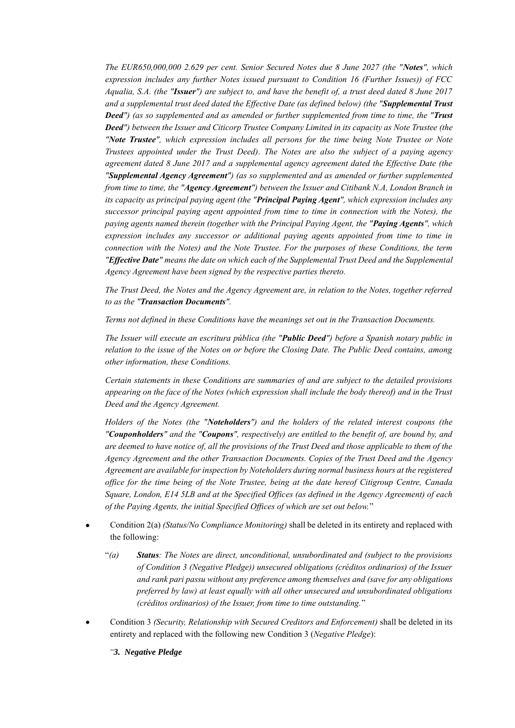*The EUR650,000,000 2.629 per cent. Senior Secured Notes due 8 June 2027 (the "Notes", which expression includes any further Notes issued pursuant to Condition 16 (Further Issues)) of FCC Aqualia, S.A. (the "Issuer") are subject to, and have the benefit of, a trust deed dated 8 June 2017 and a supplemental trust deed dated the Effective Date (as defined below) (the "Supplemental Trust Deed") (as so supplemented and as amended or further supplemented from time to time, the "Trust Deed") between the Issuer and Citicorp Trustee Company Limited in its capacity as Note Trustee (the "Note Trustee", which expression includes all persons for the time being Note Trustee or Note Trustees appointed under the Trust Deed). The Notes are also the subject of a paying agency agreement dated 8 June 2017 and a supplemental agency agreement dated the Effective Date (the "Supplemental Agency Agreement") (as so supplemented and as amended or further supplemented from time to time, the "Agency Agreement") between the Issuer and Citibank N.A, London Branch in its capacity as principal paying agent (the "Principal Paying Agent", which expression includes any successor principal paying agent appointed from time to time in connection with the Notes), the paying agents named therein (together with the Principal Paying Agent, the "Paying Agents", which expression includes any successor or additional paying agents appointed from time to time in connection with the Notes) and the Note Trustee. For the purposes of these Conditions, the term "Effective Date" means the date on which each of the Supplemental Trust Deed and the Supplemental Agency Agreement have been signed by the respective parties thereto.*

*The Trust Deed, the Notes and the Agency Agreement are, in relation to the Notes, together referred to as the "Transaction Documents".* 

*Terms not defined in these Conditions have the meanings set out in the Transaction Documents.* 

*The Issuer will execute an escritura pública (the "Public Deed") before a Spanish notary public in relation to the issue of the Notes on or before the Closing Date. The Public Deed contains, among other information, these Conditions.* 

*Certain statements in these Conditions are summaries of and are subject to the detailed provisions appearing on the face of the Notes (which expression shall include the body thereof) and in the Trust Deed and the Agency Agreement.* 

*Holders of the Notes (the "Noteholders") and the holders of the related interest coupons (the "Couponholders" and the "Coupons", respectively) are entitled to the benefit of, are bound by, and are deemed to have notice of, all the provisions of the Trust Deed and those applicable to them of the Agency Agreement and the other Transaction Documents. Copies of the Trust Deed and the Agency Agreement are available for inspection by Noteholders during normal business hours at the registered office for the time being of the Note Trustee, being at the date hereof Citigroup Centre, Canada Square, London, E14 5LB and at the Specified Offices (as defined in the Agency Agreement) of each of the Paying Agents, the initial Specified Offices of which are set out below.*"

- Condition 2(a) *(Status/No Compliance Monitoring)* shall be deleted in its entirety and replaced with the following:
	- "*(a) Status: The Notes are direct, unconditional, unsubordinated and (subject to the provisions of Condition 3 (Negative Pledge)) unsecured obligations (créditos ordinarios) of the Issuer and rank pari passu without any preference among themselves and (save for any obligations preferred by law) at least equally with all other unsecured and unsubordinated obligations (créditos ordinarios) of the Issuer, from time to time outstanding.*"
- Condition 3 *(Security, Relationship with Secured Creditors and Enforcement)* shall be deleted in its entirety and replaced with the following new Condition 3 (*Negative Pledge*):

*"3. Negative Pledge*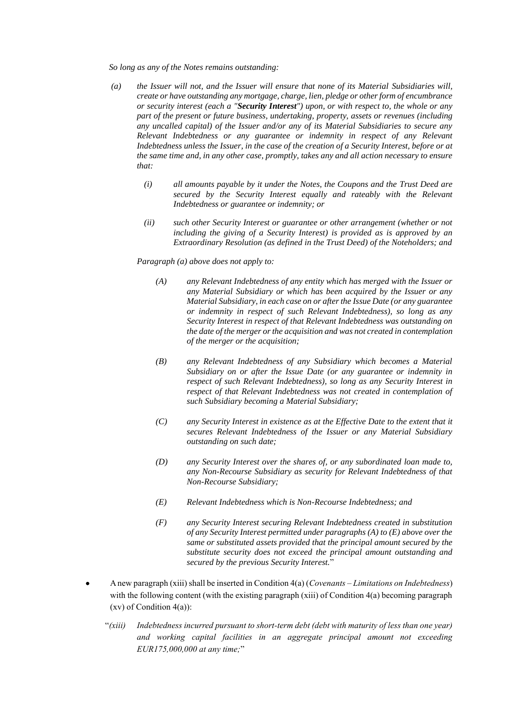*So long as any of the Notes remains outstanding:*

- *(a) the Issuer will not, and the Issuer will ensure that none of its Material Subsidiaries will, create or have outstanding any mortgage, charge, lien, pledge or other form of encumbrance or security interest (each a "Security Interest") upon, or with respect to, the whole or any part of the present or future business, undertaking, property, assets or revenues (including any uncalled capital) of the Issuer and/or any of its Material Subsidiaries to secure any Relevant Indebtedness or any guarantee or indemnity in respect of any Relevant Indebtedness unless the Issuer, in the case of the creation of a Security Interest, before or at the same time and, in any other case, promptly, takes any and all action necessary to ensure that:*
	- *(i) all amounts payable by it under the Notes, the Coupons and the Trust Deed are secured by the Security Interest equally and rateably with the Relevant Indebtedness or guarantee or indemnity; or*
	- *(ii) such other Security Interest or guarantee or other arrangement (whether or not including the giving of a Security Interest) is provided as is approved by an Extraordinary Resolution (as defined in the Trust Deed) of the Noteholders; and*

*Paragraph (a) above does not apply to:*

- *(A) any Relevant Indebtedness of any entity which has merged with the Issuer or any Material Subsidiary or which has been acquired by the Issuer or any Material Subsidiary, in each case on or after the Issue Date (or any guarantee or indemnity in respect of such Relevant Indebtedness), so long as any Security Interest in respect of that Relevant Indebtedness was outstanding on the date of the merger or the acquisition and was not created in contemplation of the merger or the acquisition;*
- *(B) any Relevant Indebtedness of any Subsidiary which becomes a Material Subsidiary on or after the Issue Date (or any guarantee or indemnity in respect of such Relevant Indebtedness), so long as any Security Interest in respect of that Relevant Indebtedness was not created in contemplation of such Subsidiary becoming a Material Subsidiary;*
- *(C) any Security Interest in existence as at the Effective Date to the extent that it secures Relevant Indebtedness of the Issuer or any Material Subsidiary outstanding on such date;*
- *(D) any Security Interest over the shares of, or any subordinated loan made to, any Non-Recourse Subsidiary as security for Relevant Indebtedness of that Non-Recourse Subsidiary;*
- *(E) Relevant Indebtedness which is Non-Recourse Indebtedness; and*
- *(F) any Security Interest securing Relevant Indebtedness created in substitution of any Security Interest permitted under paragraphs (A) to (E) above over the same or substituted assets provided that the principal amount secured by the substitute security does not exceed the principal amount outstanding and secured by the previous Security Interest.*"
- A new paragraph (xiii) shall be inserted in Condition 4(a) (*Covenants – Limitations on Indebtedness*) with the following content (with the existing paragraph (xiii) of Condition 4(a) becoming paragraph (xv) of Condition 4(a)):
	- "*(xiii) Indebtedness incurred pursuant to short-term debt (debt with maturity of less than one year) and working capital facilities in an aggregate principal amount not exceeding EUR175,000,000 at any time;*"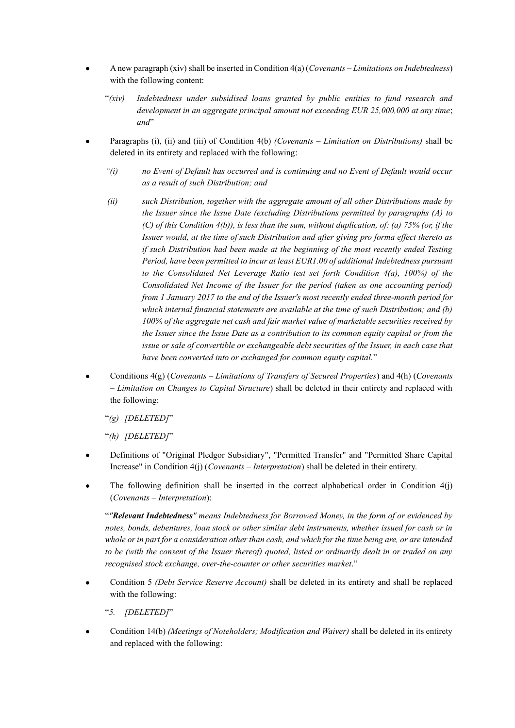- A new paragraph (xiv) shall be inserted in Condition 4(a) (*Covenants – Limitations on Indebtedness*) with the following content:
	- "*(xiv) Indebtedness under subsidised loans granted by public entities to fund research and development in an aggregate principal amount not exceeding EUR 25,000,000 at any time*; *and*"
- Paragraphs (i), (ii) and (iii) of Condition 4(b) *(Covenants – Limitation on Distributions)* shall be deleted in its entirety and replaced with the following:
	- *"(i) no Event of Default has occurred and is continuing and no Event of Default would occur as a result of such Distribution; and*
	- *(ii) such Distribution, together with the aggregate amount of all other Distributions made by the Issuer since the Issue Date (excluding Distributions permitted by paragraphs (A) to (C) of this Condition 4(b)), is less than the sum, without duplication, of: (a) 75% (or, if the Issuer would, at the time of such Distribution and after giving pro forma effect thereto as if such Distribution had been made at the beginning of the most recently ended Testing Period, have been permitted to incur at least EUR1.00 of additional Indebtedness pursuant to the Consolidated Net Leverage Ratio test set forth Condition 4(a), 100%) of the Consolidated Net Income of the Issuer for the period (taken as one accounting period) from 1 January 2017 to the end of the Issuer's most recently ended three-month period for which internal financial statements are available at the time of such Distribution; and (b) 100% of the aggregate net cash and fair market value of marketable securities received by the Issuer since the Issue Date as a contribution to its common equity capital or from the issue or sale of convertible or exchangeable debt securities of the Issuer, in each case that have been converted into or exchanged for common equity capital.*"
- Conditions 4(g) (*Covenants – Limitations of Transfers of Secured Properties*) and 4(h) (*Covenants – Limitation on Changes to Capital Structure*) shall be deleted in their entirety and replaced with the following:
	- "*(g) [DELETED]*"

"*(h) [DELETED]*"

- Definitions of "Original Pledgor Subsidiary", "Permitted Transfer" and "Permitted Share Capital Increase" in Condition 4(j) (*Covenants – Interpretation*) shall be deleted in their entirety.
- The following definition shall be inserted in the correct alphabetical order in Condition  $4(j)$ (*Covenants – Interpretation*):

"*"Relevant Indebtedness" means Indebtedness for Borrowed Money, in the form of or evidenced by notes, bonds, debentures, loan stock or other similar debt instruments, whether issued for cash or in whole or in part for a consideration other than cash, and which for the time being are, or are intended to be (with the consent of the Issuer thereof) quoted, listed or ordinarily dealt in or traded on any recognised stock exchange, over-the-counter or other securities market*."

- Condition 5 *(Debt Service Reserve Account)* shall be deleted in its entirety and shall be replaced with the following:
	- "*5. [DELETED]*"
- Condition 14(b) *(Meetings of Noteholders; Modification and Waiver)* shall be deleted in its entirety and replaced with the following: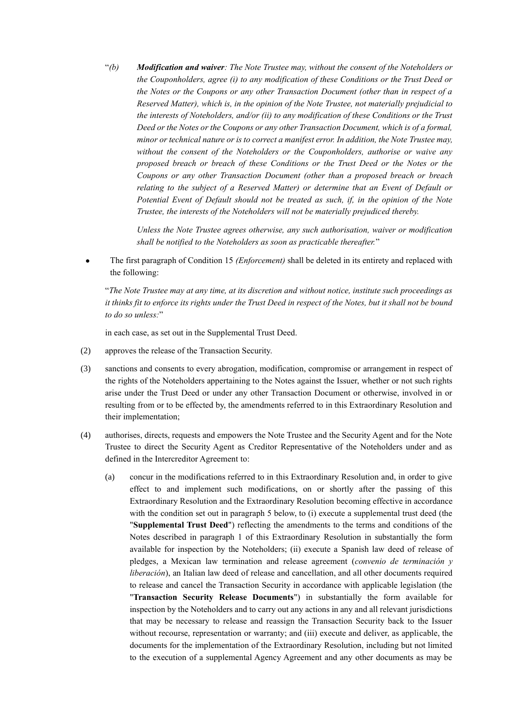"*(b) Modification and waiver: The Note Trustee may, without the consent of the Noteholders or the Couponholders, agree (i) to any modification of these Conditions or the Trust Deed or the Notes or the Coupons or any other Transaction Document (other than in respect of a Reserved Matter), which is, in the opinion of the Note Trustee, not materially prejudicial to the interests of Noteholders, and/or (ii) to any modification of these Conditions or the Trust Deed or the Notes or the Coupons or any other Transaction Document, which is of a formal, minor or technical nature or is to correct a manifest error. In addition, the Note Trustee may, without the consent of the Noteholders or the Couponholders, authorise or waive any proposed breach or breach of these Conditions or the Trust Deed or the Notes or the Coupons or any other Transaction Document (other than a proposed breach or breach relating to the subject of a Reserved Matter) or determine that an Event of Default or Potential Event of Default should not be treated as such, if, in the opinion of the Note Trustee, the interests of the Noteholders will not be materially prejudiced thereby.*

*Unless the Note Trustee agrees otherwise, any such authorisation, waiver or modification shall be notified to the Noteholders as soon as practicable thereafter.*"

• The first paragraph of Condition 15 *(Enforcement)* shall be deleted in its entirety and replaced with the following:

"*The Note Trustee may at any time, at its discretion and without notice, institute such proceedings as it thinks fit to enforce its rights under the Trust Deed in respect of the Notes, but it shall not be bound to do so unless:*"

in each case, as set out in the Supplemental Trust Deed.

- (2) approves the release of the Transaction Security.
- (3) sanctions and consents to every abrogation, modification, compromise or arrangement in respect of the rights of the Noteholders appertaining to the Notes against the Issuer, whether or not such rights arise under the Trust Deed or under any other Transaction Document or otherwise, involved in or resulting from or to be effected by, the amendments referred to in this Extraordinary Resolution and their implementation;
- (4) authorises, directs, requests and empowers the Note Trustee and the Security Agent and for the Note Trustee to direct the Security Agent as Creditor Representative of the Noteholders under and as defined in the Intercreditor Agreement to:
	- (a) concur in the modifications referred to in this Extraordinary Resolution and, in order to give effect to and implement such modifications, on or shortly after the passing of this Extraordinary Resolution and the Extraordinary Resolution becoming effective in accordance with the condition set out in paragraph 5 below, to (i) execute a supplemental trust deed (the "**Supplemental Trust Deed**") reflecting the amendments to the terms and conditions of the Notes described in paragraph 1 of this Extraordinary Resolution in substantially the form available for inspection by the Noteholders; (ii) execute a Spanish law deed of release of pledges, a Mexican law termination and release agreement (*convenio de terminación y liberación*), an Italian law deed of release and cancellation, and all other documents required to release and cancel the Transaction Security in accordance with applicable legislation (the "**Transaction Security Release Documents**") in substantially the form available for inspection by the Noteholders and to carry out any actions in any and all relevant jurisdictions that may be necessary to release and reassign the Transaction Security back to the Issuer without recourse, representation or warranty; and (iii) execute and deliver, as applicable, the documents for the implementation of the Extraordinary Resolution, including but not limited to the execution of a supplemental Agency Agreement and any other documents as may be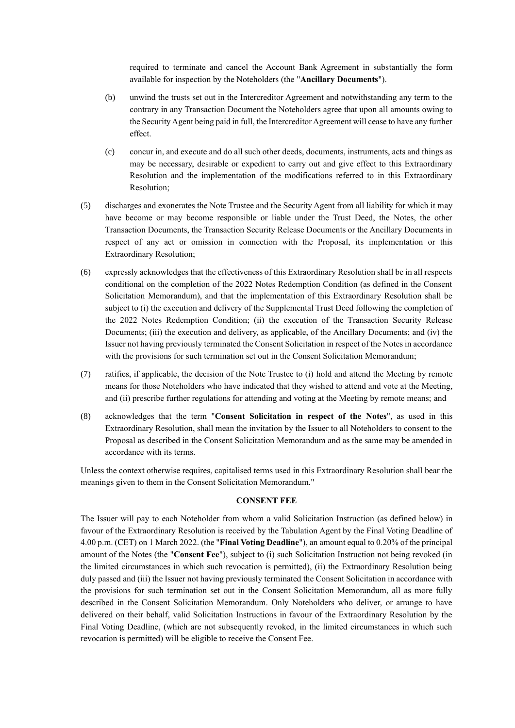required to terminate and cancel the Account Bank Agreement in substantially the form available for inspection by the Noteholders (the "**Ancillary Documents**").

- (b) unwind the trusts set out in the Intercreditor Agreement and notwithstanding any term to the contrary in any Transaction Document the Noteholders agree that upon all amounts owing to the Security Agent being paid in full, the Intercreditor Agreement will cease to have any further effect.
- (c) concur in, and execute and do all such other deeds, documents, instruments, acts and things as may be necessary, desirable or expedient to carry out and give effect to this Extraordinary Resolution and the implementation of the modifications referred to in this Extraordinary Resolution;
- (5) discharges and exonerates the Note Trustee and the Security Agent from all liability for which it may have become or may become responsible or liable under the Trust Deed, the Notes, the other Transaction Documents, the Transaction Security Release Documents or the Ancillary Documents in respect of any act or omission in connection with the Proposal, its implementation or this Extraordinary Resolution;
- <span id="page-6-0"></span>(6) expressly acknowledges that the effectiveness of this Extraordinary Resolution shall be in all respects conditional on the completion of the 2022 Notes Redemption Condition (as defined in the Consent Solicitation Memorandum), and that the implementation of this Extraordinary Resolution shall be subject to (i) the execution and delivery of the Supplemental Trust Deed following the completion of the 2022 Notes Redemption Condition; (ii) the execution of the Transaction Security Release Documents; (iii) the execution and delivery, as applicable, of the Ancillary Documents; and (iv) the Issuer not having previously terminated the Consent Solicitation in respect of the Notes in accordance with the provisions for such termination set out in the Consent Solicitation Memorandum;
- (7) ratifies, if applicable, the decision of the Note Trustee to (i) hold and attend the Meeting by remote means for those Noteholders who have indicated that they wished to attend and vote at the Meeting, and (ii) prescribe further regulations for attending and voting at the Meeting by remote means; and
- (8) acknowledges that the term "**Consent Solicitation in respect of the Notes**", as used in this Extraordinary Resolution, shall mean the invitation by the Issuer to all Noteholders to consent to the Proposal as described in the Consent Solicitation Memorandum and as the same may be amended in accordance with its terms.

Unless the context otherwise requires, capitalised terms used in this Extraordinary Resolution shall bear the meanings given to them in the Consent Solicitation Memorandum."

#### **CONSENT FEE**

The Issuer will pay to each Noteholder from whom a valid Solicitation Instruction (as defined below) in favour of the Extraordinary Resolution is received by the Tabulation Agent by the Final Voting Deadline of 4.00 p.m. (CET) on 1 March 2022. (the "**Final Voting Deadline**"), an amount equal to 0.20% of the principal amount of the Notes (the "**Consent Fee**"), subject to (i) such Solicitation Instruction not being revoked (in the limited circumstances in which such revocation is permitted), (ii) the Extraordinary Resolution being duly passed and (iii) the Issuer not having previously terminated the Consent Solicitation in accordance with the provisions for such termination set out in the Consent Solicitation Memorandum, all as more fully described in the Consent Solicitation Memorandum. Only Noteholders who deliver, or arrange to have delivered on their behalf, valid Solicitation Instructions in favour of the Extraordinary Resolution by the Final Voting Deadline, (which are not subsequently revoked, in the limited circumstances in which such revocation is permitted) will be eligible to receive the Consent Fee.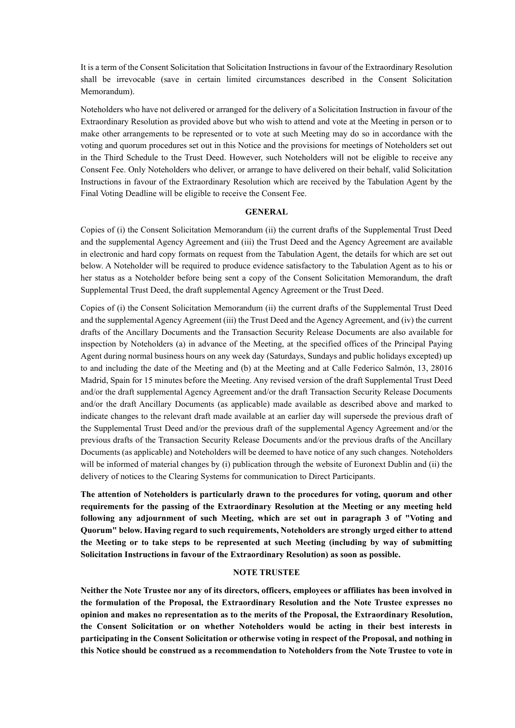It is a term of the Consent Solicitation that Solicitation Instructions in favour of the Extraordinary Resolution shall be irrevocable (save in certain limited circumstances described in the Consent Solicitation Memorandum).

Noteholders who have not delivered or arranged for the delivery of a Solicitation Instruction in favour of the Extraordinary Resolution as provided above but who wish to attend and vote at the Meeting in person or to make other arrangements to be represented or to vote at such Meeting may do so in accordance with the voting and quorum procedures set out in this Notice and the provisions for meetings of Noteholders set out in the Third Schedule to the Trust Deed. However, such Noteholders will not be eligible to receive any Consent Fee. Only Noteholders who deliver, or arrange to have delivered on their behalf, valid Solicitation Instructions in favour of the Extraordinary Resolution which are received by the Tabulation Agent by the Final Voting Deadline will be eligible to receive the Consent Fee.

### **GENERAL**

Copies of (i) the Consent Solicitation Memorandum (ii) the current drafts of the Supplemental Trust Deed and the supplemental Agency Agreement and (iii) the Trust Deed and the Agency Agreement are available in electronic and hard copy formats on request from the Tabulation Agent, the details for which are set out below. A Noteholder will be required to produce evidence satisfactory to the Tabulation Agent as to his or her status as a Noteholder before being sent a copy of the Consent Solicitation Memorandum, the draft Supplemental Trust Deed, the draft supplemental Agency Agreement or the Trust Deed.

Copies of (i) the Consent Solicitation Memorandum (ii) the current drafts of the Supplemental Trust Deed and the supplemental Agency Agreement (iii) the Trust Deed and the Agency Agreement, and (iv) the current drafts of the Ancillary Documents and the Transaction Security Release Documents are also available for inspection by Noteholders (a) in advance of the Meeting, at the specified offices of the Principal Paying Agent during normal business hours on any week day (Saturdays, Sundays and public holidays excepted) up to and including the date of the Meeting and (b) at the Meeting and at Calle Federico Salmón, 13, 28016 Madrid, Spain for 15 minutes before the Meeting. Any revised version of the draft Supplemental Trust Deed and/or the draft supplemental Agency Agreement and/or the draft Transaction Security Release Documents and/or the draft Ancillary Documents (as applicable) made available as described above and marked to indicate changes to the relevant draft made available at an earlier day will supersede the previous draft of the Supplemental Trust Deed and/or the previous draft of the supplemental Agency Agreement and/or the previous drafts of the Transaction Security Release Documents and/or the previous drafts of the Ancillary Documents (as applicable) and Noteholders will be deemed to have notice of any such changes. Noteholders will be informed of material changes by (i) publication through the website of Euronext Dublin and (ii) the delivery of notices to the Clearing Systems for communication to Direct Participants.

**The attention of Noteholders is particularly drawn to the procedures for voting, quorum and other requirements for the passing of the Extraordinary Resolution at the Meeting or any meeting held following any adjournment of such Meeting, which are set out in paragraph 3 of "Voting and Quorum" below. Having regard to such requirements, Noteholders are strongly urged either to attend the Meeting or to take steps to be represented at such Meeting (including by way of submitting Solicitation Instructions in favour of the Extraordinary Resolution) as soon as possible.**

### **NOTE TRUSTEE**

**Neither the Note Trustee nor any of its directors, officers, employees or affiliates has been involved in the formulation of the Proposal, the Extraordinary Resolution and the Note Trustee expresses no opinion and makes no representation as to the merits of the Proposal, the Extraordinary Resolution, the Consent Solicitation or on whether Noteholders would be acting in their best interests in participating in the Consent Solicitation or otherwise voting in respect of the Proposal, and nothing in this Notice should be construed as a recommendation to Noteholders from the Note Trustee to vote in**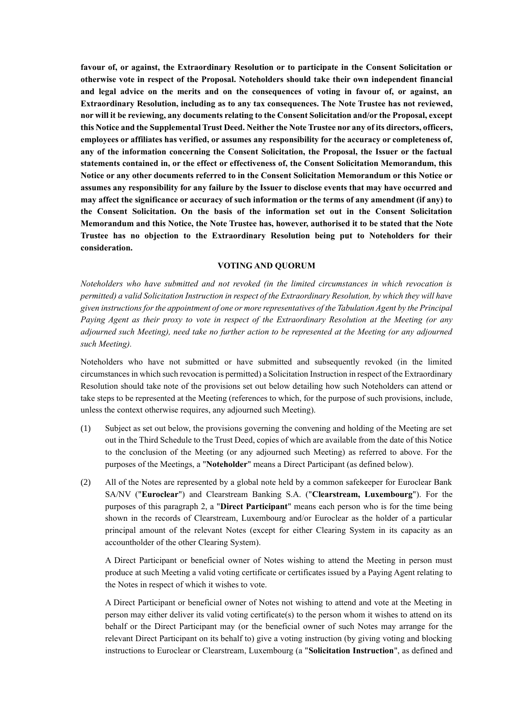**favour of, or against, the Extraordinary Resolution or to participate in the Consent Solicitation or otherwise vote in respect of the Proposal. Noteholders should take their own independent financial and legal advice on the merits and on the consequences of voting in favour of, or against, an Extraordinary Resolution, including as to any tax consequences. The Note Trustee has not reviewed, nor will it be reviewing, any documents relating to the Consent Solicitation and/or the Proposal, except this Notice and the Supplemental Trust Deed. Neither the Note Trustee nor any of its directors, officers, employees or affiliates has verified, or assumes any responsibility for the accuracy or completeness of, any of the information concerning the Consent Solicitation, the Proposal, the Issuer or the factual statements contained in, or the effect or effectiveness of, the Consent Solicitation Memorandum, this Notice or any other documents referred to in the Consent Solicitation Memorandum or this Notice or assumes any responsibility for any failure by the Issuer to disclose events that may have occurred and may affect the significance or accuracy of such information or the terms of any amendment (if any) to the Consent Solicitation. On the basis of the information set out in the Consent Solicitation Memorandum and this Notice, the Note Trustee has, however, authorised it to be stated that the Note Trustee has no objection to the Extraordinary Resolution being put to Noteholders for their consideration.**

#### **VOTING AND QUORUM**

*Noteholders who have submitted and not revoked (in the limited circumstances in which revocation is permitted) a valid Solicitation Instruction in respect of the Extraordinary Resolution, by which they will have given instructions for the appointment of one or more representatives of the Tabulation Agent by the Principal Paying Agent as their proxy to vote in respect of the Extraordinary Resolution at the Meeting (or any adjourned such Meeting), need take no further action to be represented at the Meeting (or any adjourned such Meeting).*

Noteholders who have not submitted or have submitted and subsequently revoked (in the limited circumstances in which such revocation is permitted) a Solicitation Instruction in respect of the Extraordinary Resolution should take note of the provisions set out below detailing how such Noteholders can attend or take steps to be represented at the Meeting (references to which, for the purpose of such provisions, include, unless the context otherwise requires, any adjourned such Meeting).

- (1) Subject as set out below, the provisions governing the convening and holding of the Meeting are set out in the Third Schedule to the Trust Deed, copies of which are available from the date of this Notice to the conclusion of the Meeting (or any adjourned such Meeting) as referred to above. For the purposes of the Meetings, a "**Noteholder**" means a Direct Participant (as defined below).
- (2) All of the Notes are represented by a global note held by a common safekeeper for Euroclear Bank SA/NV ("**Euroclear**") and Clearstream Banking S.A. ("**Clearstream, Luxembourg**"). For the purposes of this paragraph 2, a "**Direct Participant**" means each person who is for the time being shown in the records of Clearstream, Luxembourg and/or Euroclear as the holder of a particular principal amount of the relevant Notes (except for either Clearing System in its capacity as an accountholder of the other Clearing System).

A Direct Participant or beneficial owner of Notes wishing to attend the Meeting in person must produce at such Meeting a valid voting certificate or certificates issued by a Paying Agent relating to the Notes in respect of which it wishes to vote.

A Direct Participant or beneficial owner of Notes not wishing to attend and vote at the Meeting in person may either deliver its valid voting certificate(s) to the person whom it wishes to attend on its behalf or the Direct Participant may (or the beneficial owner of such Notes may arrange for the relevant Direct Participant on its behalf to) give a voting instruction (by giving voting and blocking instructions to Euroclear or Clearstream, Luxembourg (a "**Solicitation Instruction**", as defined and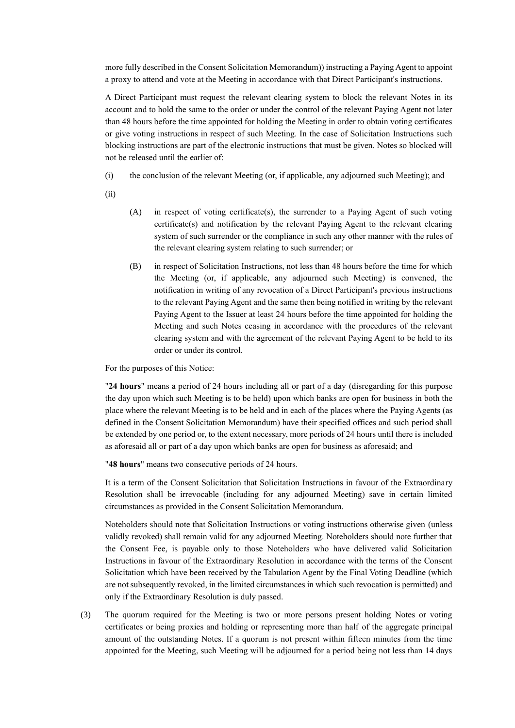more fully described in the Consent Solicitation Memorandum)) instructing a Paying Agent to appoint a proxy to attend and vote at the Meeting in accordance with that Direct Participant's instructions.

A Direct Participant must request the relevant clearing system to block the relevant Notes in its account and to hold the same to the order or under the control of the relevant Paying Agent not later than 48 hours before the time appointed for holding the Meeting in order to obtain voting certificates or give voting instructions in respect of such Meeting. In the case of Solicitation Instructions such blocking instructions are part of the electronic instructions that must be given. Notes so blocked will not be released until the earlier of:

- (i) the conclusion of the relevant Meeting (or, if applicable, any adjourned such Meeting); and
- (ii)
- (A) in respect of voting certificate(s), the surrender to a Paying Agent of such voting certificate(s) and notification by the relevant Paying Agent to the relevant clearing system of such surrender or the compliance in such any other manner with the rules of the relevant clearing system relating to such surrender; or
- (B) in respect of Solicitation Instructions, not less than 48 hours before the time for which the Meeting (or, if applicable, any adjourned such Meeting) is convened, the notification in writing of any revocation of a Direct Participant's previous instructions to the relevant Paying Agent and the same then being notified in writing by the relevant Paying Agent to the Issuer at least 24 hours before the time appointed for holding the Meeting and such Notes ceasing in accordance with the procedures of the relevant clearing system and with the agreement of the relevant Paying Agent to be held to its order or under its control.

For the purposes of this Notice:

"**24 hours**" means a period of 24 hours including all or part of a day (disregarding for this purpose the day upon which such Meeting is to be held) upon which banks are open for business in both the place where the relevant Meeting is to be held and in each of the places where the Paying Agents (as defined in the Consent Solicitation Memorandum) have their specified offices and such period shall be extended by one period or, to the extent necessary, more periods of 24 hours until there is included as aforesaid all or part of a day upon which banks are open for business as aforesaid; and

"**48 hours**" means two consecutive periods of 24 hours.

It is a term of the Consent Solicitation that Solicitation Instructions in favour of the Extraordinary Resolution shall be irrevocable (including for any adjourned Meeting) save in certain limited circumstances as provided in the Consent Solicitation Memorandum.

Noteholders should note that Solicitation Instructions or voting instructions otherwise given (unless validly revoked) shall remain valid for any adjourned Meeting. Noteholders should note further that the Consent Fee, is payable only to those Noteholders who have delivered valid Solicitation Instructions in favour of the Extraordinary Resolution in accordance with the terms of the Consent Solicitation which have been received by the Tabulation Agent by the Final Voting Deadline (which are not subsequently revoked, in the limited circumstances in which such revocation is permitted) and only if the Extraordinary Resolution is duly passed.

(3) The quorum required for the Meeting is two or more persons present holding Notes or voting certificates or being proxies and holding or representing more than half of the aggregate principal amount of the outstanding Notes. If a quorum is not present within fifteen minutes from the time appointed for the Meeting, such Meeting will be adjourned for a period being not less than 14 days